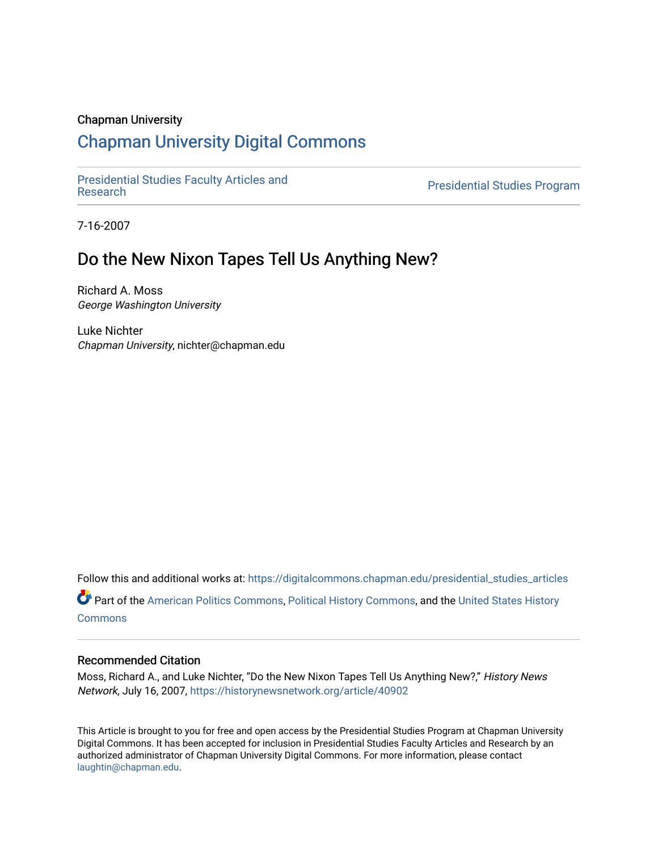#### Chapman University

# [Chapman University Digital Commons](https://digitalcommons.chapman.edu/)

[Presidential Studies Faculty Articles and](https://digitalcommons.chapman.edu/presidential_studies_articles) 

**Presidential Studies Program** 

7-16-2007

# Do the New Nixon Tapes Tell Us Anything New?

Richard A. Moss George Washington University

Luke Nichter Chapman University, nichter@chapman.edu

Follow this and additional works at: [https://digitalcommons.chapman.edu/presidential\\_studies\\_articles](https://digitalcommons.chapman.edu/presidential_studies_articles?utm_source=digitalcommons.chapman.edu%2Fpresidential_studies_articles%2F5&utm_medium=PDF&utm_campaign=PDFCoverPages)  Part of the [American Politics Commons,](http://network.bepress.com/hgg/discipline/387?utm_source=digitalcommons.chapman.edu%2Fpresidential_studies_articles%2F5&utm_medium=PDF&utm_campaign=PDFCoverPages) [Political History Commons,](http://network.bepress.com/hgg/discipline/505?utm_source=digitalcommons.chapman.edu%2Fpresidential_studies_articles%2F5&utm_medium=PDF&utm_campaign=PDFCoverPages) and the [United States History](http://network.bepress.com/hgg/discipline/495?utm_source=digitalcommons.chapman.edu%2Fpresidential_studies_articles%2F5&utm_medium=PDF&utm_campaign=PDFCoverPages) [Commons](http://network.bepress.com/hgg/discipline/495?utm_source=digitalcommons.chapman.edu%2Fpresidential_studies_articles%2F5&utm_medium=PDF&utm_campaign=PDFCoverPages)

#### Recommended Citation

Moss, Richard A., and Luke Nichter, "Do the New Nixon Tapes Tell Us Anything New?," History News Network, July 16, 2007, <https://historynewsnetwork.org/article/40902>

This Article is brought to you for free and open access by the Presidential Studies Program at Chapman University Digital Commons. It has been accepted for inclusion in Presidential Studies Faculty Articles and Research by an authorized administrator of Chapman University Digital Commons. For more information, please contact [laughtin@chapman.edu.](mailto:laughtin@chapman.edu)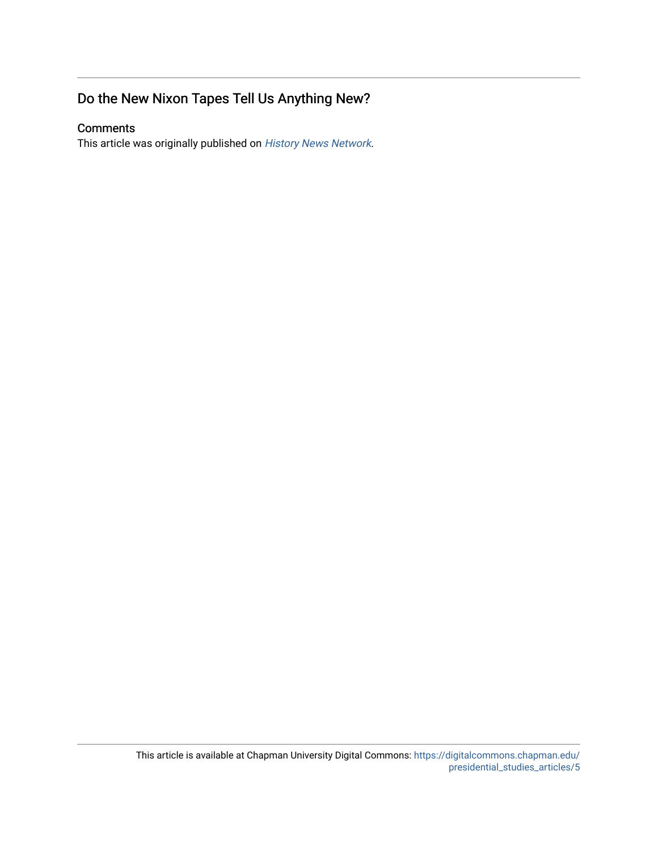## Do the New Nixon Tapes Tell Us Anything New?

### **Comments**

This article was originally published on [History News Network](https://historynewsnetwork.org/article/40902).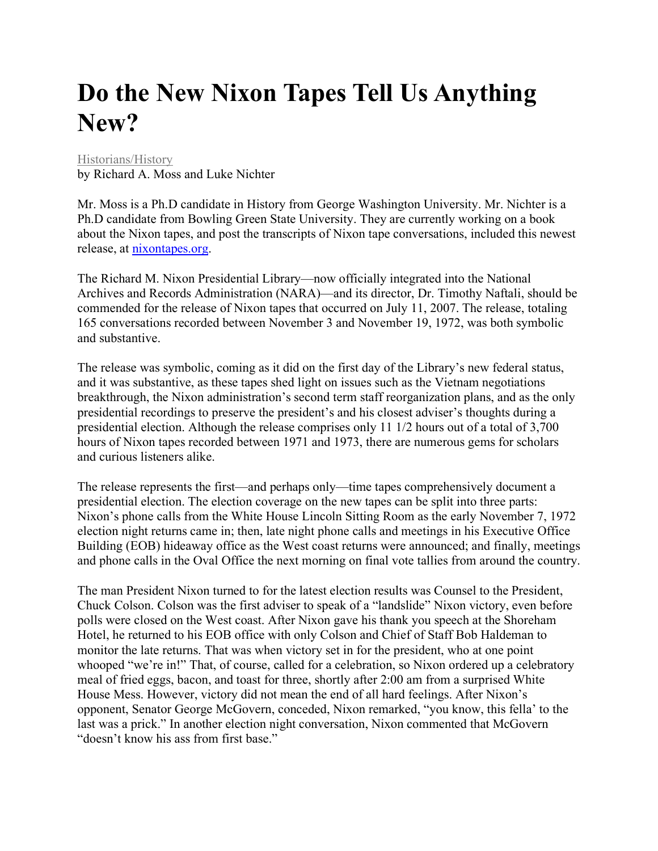# **Do the New Nixon Tapes Tell Us Anything New?**

#### [Historians/History](https://historynewsnetwork.org/article/category/2)

by Richard A. Moss and Luke Nichter

Mr. Moss is a Ph.D candidate in History from George Washington University. Mr. Nichter is a Ph.D candidate from Bowling Green State University. They are currently working on a book about the Nixon tapes, and post the transcripts of Nixon tape conversations, included this newest release, at [nixontapes.org.](http://nixontapes.org/)

The Richard M. Nixon Presidential Library—now officially integrated into the National Archives and Records Administration (NARA)—and its director, Dr. Timothy Naftali, should be commended for the release of Nixon tapes that occurred on July 11, 2007. The release, totaling 165 conversations recorded between November 3 and November 19, 1972, was both symbolic and substantive.

The release was symbolic, coming as it did on the first day of the Library's new federal status, and it was substantive, as these tapes shed light on issues such as the Vietnam negotiations breakthrough, the Nixon administration's second term staff reorganization plans, and as the only presidential recordings to preserve the president's and his closest adviser's thoughts during a presidential election. Although the release comprises only 11 1/2 hours out of a total of 3,700 hours of Nixon tapes recorded between 1971 and 1973, there are numerous gems for scholars and curious listeners alike.

The release represents the first—and perhaps only—time tapes comprehensively document a presidential election. The election coverage on the new tapes can be split into three parts: Nixon's phone calls from the White House Lincoln Sitting Room as the early November 7, 1972 election night returns came in; then, late night phone calls and meetings in his Executive Office Building (EOB) hideaway office as the West coast returns were announced; and finally, meetings and phone calls in the Oval Office the next morning on final vote tallies from around the country.

The man President Nixon turned to for the latest election results was Counsel to the President, Chuck Colson. Colson was the first adviser to speak of a "landslide" Nixon victory, even before polls were closed on the West coast. After Nixon gave his thank you speech at the Shoreham Hotel, he returned to his EOB office with only Colson and Chief of Staff Bob Haldeman to monitor the late returns. That was when victory set in for the president, who at one point whooped "we're in!" That, of course, called for a celebration, so Nixon ordered up a celebratory meal of fried eggs, bacon, and toast for three, shortly after 2:00 am from a surprised White House Mess. However, victory did not mean the end of all hard feelings. After Nixon's opponent, Senator George McGovern, conceded, Nixon remarked, "you know, this fella' to the last was a prick." In another election night conversation, Nixon commented that McGovern "doesn't know his ass from first base."